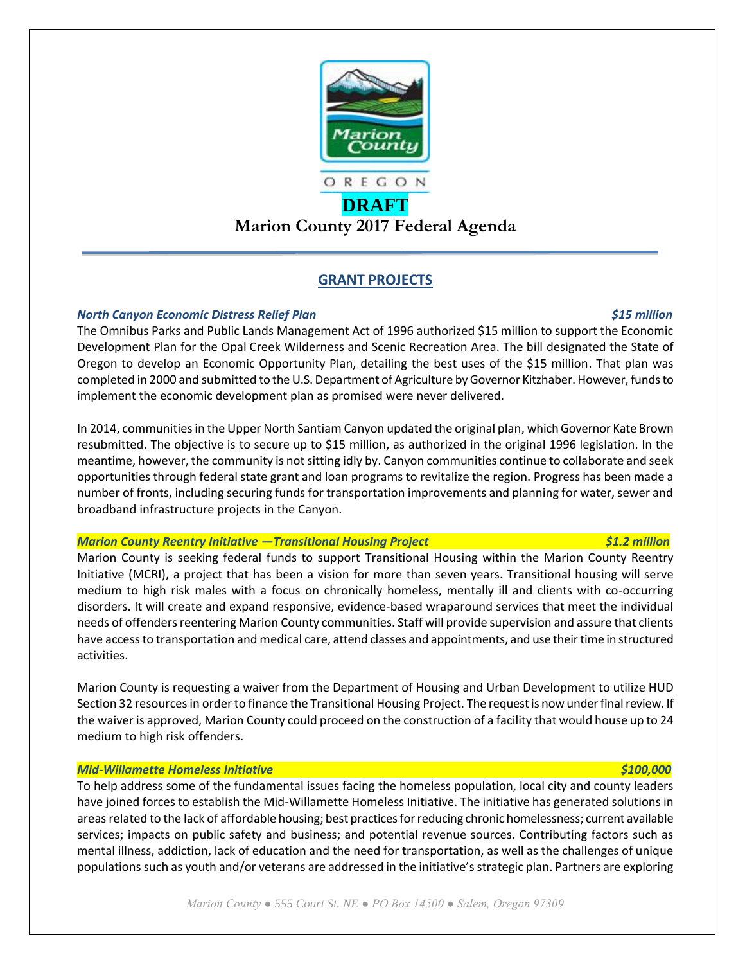

# **GRANT PROJECTS**

# *North Canyon Economic Distress Relief Plan \$15 million*

The Omnibus Parks and Public Lands Management Act of 1996 authorized \$15 million to support the Economic Development Plan for the Opal Creek Wilderness and Scenic Recreation Area. The bill designated the State of Oregon to develop an Economic Opportunity Plan, detailing the best uses of the \$15 million. That plan was completed in 2000 and submitted to the U.S. Department of Agriculture by Governor Kitzhaber. However, funds to implement the economic development plan as promised were never delivered.

In 2014, communities in the Upper North Santiam Canyon updated the original plan, which Governor Kate Brown resubmitted. The objective is to secure up to \$15 million, as authorized in the original 1996 legislation. In the meantime, however, the community is not sitting idly by. Canyon communities continue to collaborate and seek opportunities through federal state grant and loan programs to revitalize the region. Progress has been made a number of fronts, including securing funds for transportation improvements and planning for water, sewer and broadband infrastructure projects in the Canyon.

# *Marion County Reentry Initiative —Transitional Housing Project \$1.2 million*

Marion County is seeking federal funds to support Transitional Housing within the Marion County Reentry Initiative (MCRI), a project that has been a vision for more than seven years. Transitional housing will serve medium to high risk males with a focus on chronically homeless, mentally ill and clients with co-occurring disorders. It will create and expand responsive, evidence-based wraparound services that meet the individual needs of offenders reentering Marion County communities. Staff will provide supervision and assure that clients have access to transportation and medical care, attend classes and appointments, and use their time in structured activities.

Marion County is requesting a waiver from the Department of Housing and Urban Development to utilize HUD Section 32 resources in order to finance the Transitional Housing Project. The request is now under final review. If the waiver is approved, Marion County could proceed on the construction of a facility that would house up to 24 medium to high risk offenders.

## *Mid-Willamette Homeless Initiative \$100,000*

To help address some of the fundamental issues facing the homeless population, local city and county leaders have joined forces to establish the Mid-Willamette Homeless Initiative. The initiative has generated solutions in areas related to the lack of affordable housing; best practices for reducing chronic homelessness; current available services; impacts on public safety and business; and potential revenue sources. Contributing factors such as mental illness, addiction, lack of education and the need for transportation, as well as the challenges of unique populations such as youth and/or veterans are addressed in the initiative'sstrategic plan. Partners are exploring

*Marion County ● 555 Court St. NE ● PO Box 14500 ● Salem, Oregon 97309*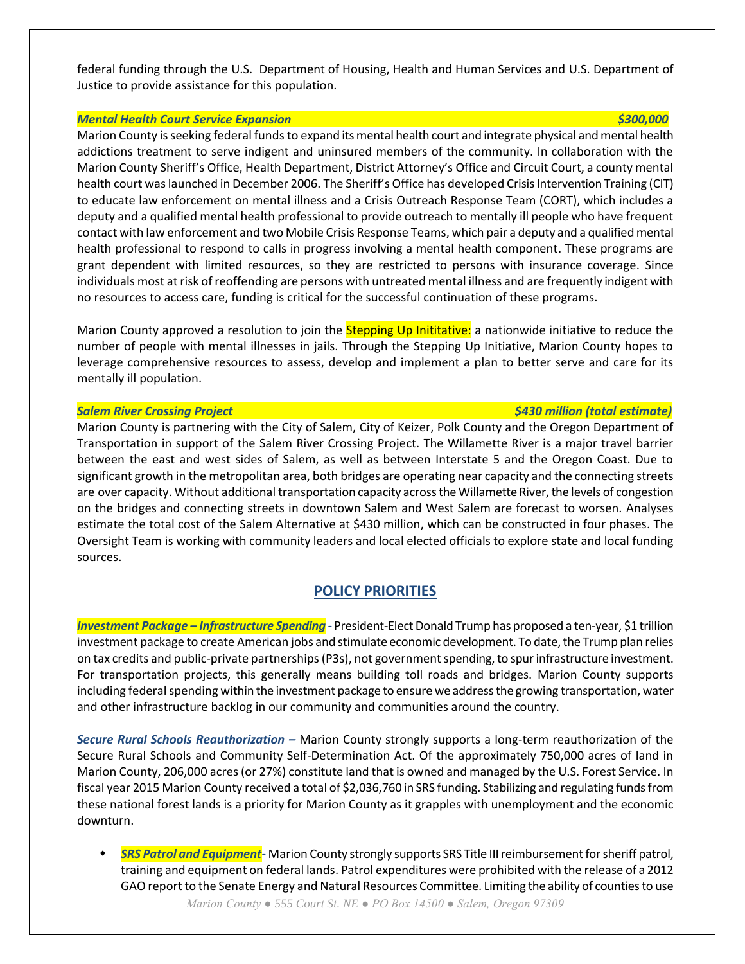federal funding through the U.S. Department of Housing, Health and Human Services and U.S. Department of Justice to provide assistance for this population.

## *Mental Health Court Service Expansion \$300,000*

Marion County is seeking federal funds to expand its mental health court and integrate physical and mental health addictions treatment to serve indigent and uninsured members of the community. In collaboration with the Marion County Sheriff's Office, Health Department, District Attorney's Office and Circuit Court, a county mental health court was launched in December 2006. The Sheriff's Office has developed Crisis Intervention Training (CIT) to educate law enforcement on mental illness and a Crisis Outreach Response Team (CORT), which includes a deputy and a qualified mental health professional to provide outreach to mentally ill people who have frequent contact with law enforcement and two Mobile Crisis Response Teams, which pair a deputy and a qualified mental health professional to respond to calls in progress involving a mental health component. These programs are grant dependent with limited resources, so they are restricted to persons with insurance coverage. Since individuals most at risk of reoffending are persons with untreated mental illness and are frequently indigent with no resources to access care, funding is critical for the successful continuation of these programs.

Marion County approved a resolution to join the **Stepping Up Inititative:** a nationwide initiative to reduce the number of people with mental illnesses in jails. Through the Stepping Up Initiative, Marion County hopes to leverage comprehensive resources to assess, develop and implement a plan to better serve and care for its mentally ill population.

## *Salem River Crossing Project \$430 million (total estimate)*

Marion County is partnering with the City of Salem, City of Keizer, Polk County and the Oregon Department of Transportation in support of the Salem River Crossing Project. The Willamette River is a major travel barrier between the east and west sides of Salem, as well as between Interstate 5 and the Oregon Coast. Due to significant growth in the metropolitan area, both bridges are operating near capacity and the connecting streets are over capacity. Without additional transportation capacity across the Willamette River, the levels of congestion on the bridges and connecting streets in downtown Salem and West Salem are forecast to worsen. Analyses estimate the total cost of the Salem Alternative at \$430 million, which can be constructed in four phases. The Oversight Team is working with community leaders and local elected officials to explore state and local funding sources.

# **POLICY PRIORITIES**

*Investment Package – Infrastructure Spending -* President-Elect Donald Trump has proposed a ten-year, \$1 trillion investment package to create American jobs and stimulate economic development. To date, the Trump plan relies on tax credits and public-private partnerships (P3s), not government spending, to spur infrastructure investment. For transportation projects, this generally means building toll roads and bridges. Marion County supports including federal spending within the investment package to ensure we address the growing transportation, water and other infrastructure backlog in our community and communities around the country.

*Secure Rural Schools Reauthorization –* Marion County strongly supports a long-term reauthorization of the Secure Rural Schools and Community Self-Determination Act. Of the approximately 750,000 acres of land in Marion County, 206,000 acres (or 27%) constitute land that is owned and managed by the U.S. Forest Service. In fiscal year 2015 Marion County received a total of \$2,036,760 in SRS funding. Stabilizing and regulating funds from these national forest lands is a priority for Marion County as it grapples with unemployment and the economic downturn.

*Marion County ● 555 Court St. NE ● PO Box 14500 ● Salem, Oregon 97309 SRS Patrol and Equipment-* Marion County strongly supports SRS Title III reimbursement for sheriff patrol, training and equipment on federal lands. Patrol expenditures were prohibited with the release of a 2012 GAO report to the Senate Energy and Natural Resources Committee. Limiting the ability of counties to use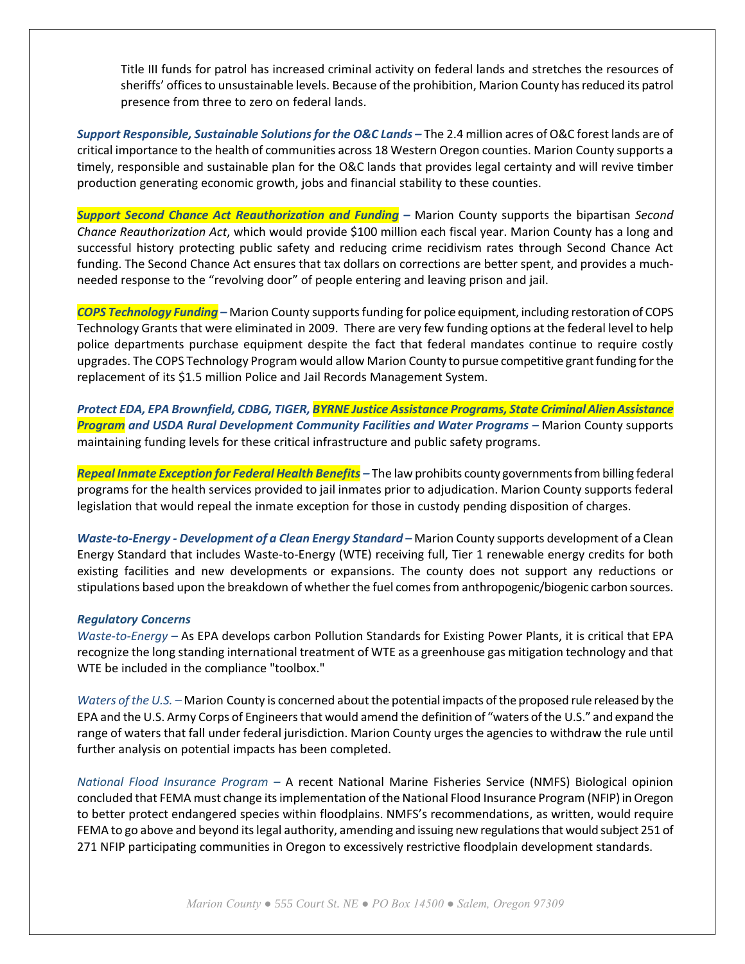Title III funds for patrol has increased criminal activity on federal lands and stretches the resources of sheriffs' offices to unsustainable levels. Because of the prohibition, Marion County has reduced its patrol presence from three to zero on federal lands.

*Support Responsible, Sustainable Solutions for the O&C Lands – The 2.4 million acres of O&C forest lands are of* critical importance to the health of communities across 18 Western Oregon counties. Marion County supports a timely, responsible and sustainable plan for the O&C lands that provides legal certainty and will revive timber production generating economic growth, jobs and financial stability to these counties.

*Support Second Chance Act Reauthorization and Funding –* Marion County supports the bipartisan *Second Chance Reauthorization Act*, which would provide \$100 million each fiscal year. Marion County has a long and successful history protecting public safety and reducing crime recidivism rates through Second Chance Act funding. The Second Chance Act ensures that tax dollars on corrections are better spent, and provides a muchneeded response to the "revolving door" of people entering and leaving prison and jail.

*COPS Technology Funding –* Marion County supportsfunding for police equipment, including restoration of COPS Technology Grants that were eliminated in 2009. There are very few funding options at the federal level to help police departments purchase equipment despite the fact that federal mandates continue to require costly upgrades. The COPS Technology Program would allow Marion County to pursue competitive grant funding for the replacement of its \$1.5 million Police and Jail Records Management System.

*Protect EDA, EPA Brownfield, CDBG, TIGER, BYRNE Justice Assistance Programs, State Criminal Alien Assistance*  **Program** and USDA Rural Development Community Facilities and Water Programs – Marion County supports maintaining funding levels for these critical infrastructure and public safety programs.

*Repeal Inmate Exception for Federal Health Benefits –* The law prohibits county governments from billing federal programs for the health services provided to jail inmates prior to adjudication. Marion County supports federal legislation that would repeal the inmate exception for those in custody pending disposition of charges.

*Waste-to-Energy - Development of a Clean Energy Standard – Marion County supports development of a Clean* Energy Standard that includes Waste-to-Energy (WTE) receiving full, Tier 1 renewable energy credits for both existing facilities and new developments or expansions. The county does not support any reductions or stipulations based upon the breakdown of whether the fuel comes from anthropogenic/biogenic carbon sources.

# *Regulatory Concerns*

*Waste-to-Energy –* As EPA develops carbon Pollution Standards for Existing Power Plants, it is critical that EPA recognize the long standing international treatment of WTE as a greenhouse gas mitigation technology and that WTE be included in the compliance "toolbox."

*Waters of the U.S.* – Marion County is concerned about the potential impacts of the proposed rule released by the EPA and the U.S. Army Corps of Engineers that would amend the definition of "waters of the U.S." and expand the range of waters that fall under federal jurisdiction. Marion County urges the agencies to withdraw the rule until further analysis on potential impacts has been completed.

*National Flood Insurance Program –* A recent National Marine Fisheries Service (NMFS) Biological opinion concluded that FEMA must change its implementation of the National Flood Insurance Program (NFIP) in Oregon to better protect endangered species within floodplains. NMFS's recommendations, as written, would require FEMA to go above and beyond its legal authority, amending and issuing new regulations that would subject 251 of 271 NFIP participating communities in Oregon to excessively restrictive floodplain development standards.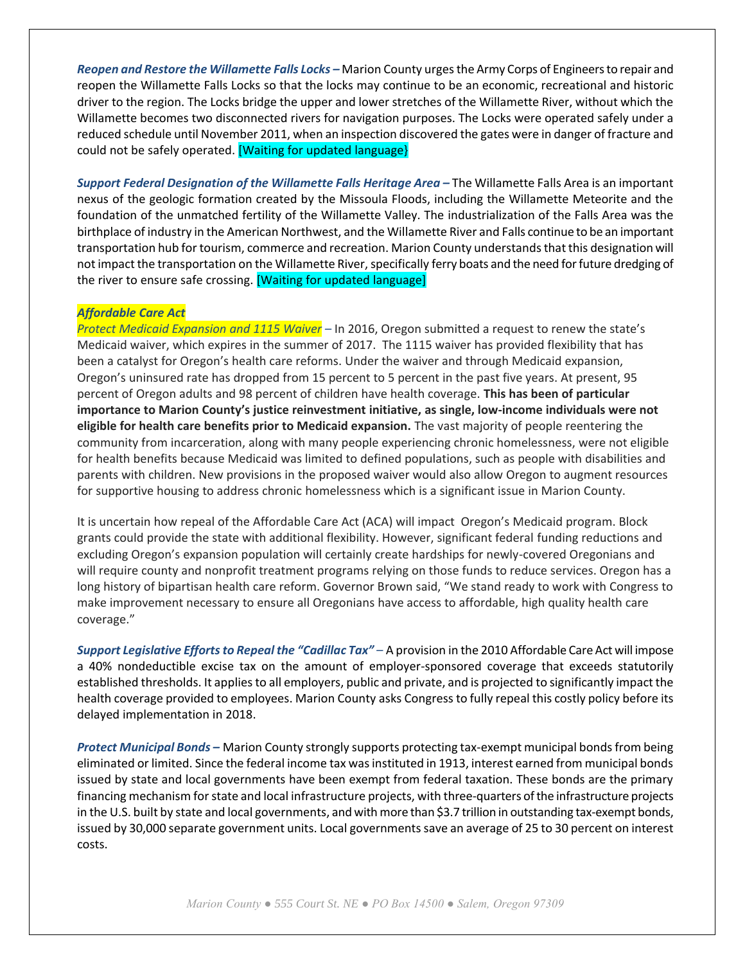*Reopen and Restore the Willamette Falls Locks –* Marion County urges the Army Corps of Engineers to repair and reopen the Willamette Falls Locks so that the locks may continue to be an economic, recreational and historic driver to the region. The Locks bridge the upper and lower stretches of the Willamette River, without which the Willamette becomes two disconnected rivers for navigation purposes. The Locks were operated safely under a reduced schedule until November 2011, when an inspection discovered the gates were in danger of fracture and could not be safely operated. [Waiting for updated language}

*Support Federal Designation of the Willamette Falls Heritage Area –* The Willamette Falls Area is an important nexus of the geologic formation created by the Missoula Floods, including the Willamette Meteorite and the foundation of the unmatched fertility of the Willamette Valley. The industrialization of the Falls Area was the birthplace of industry in the American Northwest, and the Willamette River and Falls continue to be an important transportation hub for tourism, commerce and recreation. Marion County understands that this designation will not impact the transportation on the Willamette River, specifically ferry boats and the need for future dredging of the river to ensure safe crossing. [Waiting for updated language]

# *Affordable Care Act*

*Protect Medicaid Expansion and 1115 Waiver –* In 2016, Oregon submitted a request to renew the state's Medicaid waiver, which expires in the summer of 2017. The 1115 waiver has provided flexibility that has been a catalyst for Oregon's health care reforms. Under the waiver and through Medicaid expansion, Oregon's uninsured rate has dropped from 15 percent to 5 percent in the past five years. At present, 95 percent of Oregon adults and 98 percent of children have health coverage. **This has been of particular importance to Marion County's justice reinvestment initiative, as single, low-income individuals were not eligible for health care benefits prior to Medicaid expansion.** The vast majority of people reentering the community from incarceration, along with many people experiencing chronic homelessness, were not eligible for health benefits because Medicaid was limited to defined populations, such as people with disabilities and parents with children. New provisions in the proposed waiver would also allow Oregon to augment resources for supportive housing to address chronic homelessness which is a significant issue in Marion County.

It is uncertain how repeal of the Affordable Care Act (ACA) will impact Oregon's Medicaid program. Block grants could provide the state with additional flexibility. However, significant federal funding reductions and excluding Oregon's expansion population will certainly create hardships for newly-covered Oregonians and will require county and nonprofit treatment programs relying on those funds to reduce services. Oregon has a long history of bipartisan health care reform. Governor Brown said, "We stand ready to work with Congress to make improvement necessary to ensure all Oregonians have access to affordable, high quality health care coverage."

*Support Legislative Efforts to Repeal the "Cadillac Tax" –* A provision in the 2010 Affordable Care Act will impose a 40% nondeductible excise tax on the amount of employer-sponsored coverage that exceeds statutorily established thresholds. It applies to all employers, public and private, and is projected to significantly impact the health coverage provided to employees. Marion County asks Congress to fully repeal this costly policy before its delayed implementation in 2018.

*Protect Municipal Bonds –* Marion County strongly supports protecting tax-exempt municipal bonds from being eliminated or limited. Since the federal income tax was instituted in 1913, interest earned from municipal bonds issued by state and local governments have been exempt from federal taxation. These bonds are the primary financing mechanism for state and local infrastructure projects, with three-quarters of the infrastructure projects in the U.S. built by state and local governments, and with more than \$3.7 trillion in outstanding tax-exempt bonds, issued by 30,000 separate government units. Local governments save an average of 25 to 30 percent on interest costs.